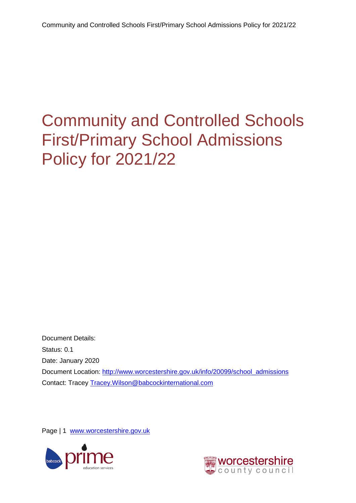<span id="page-0-0"></span>Document Details: Status: 0.1 Date: January 2020 Document Location: [http://www.worcestershire.gov.uk/info/20099/school\\_admissions](http://www.worcestershire.gov.uk/info/20099/school_admissions) Contact: Tracey [Tracey.Wilson@babcockinternational.com](mailto:Tracey.Wilson@babcockinternational.com)

Page | 1 [www.worcestershire.gov.uk](http://www.worcestershire.gov.uk/)



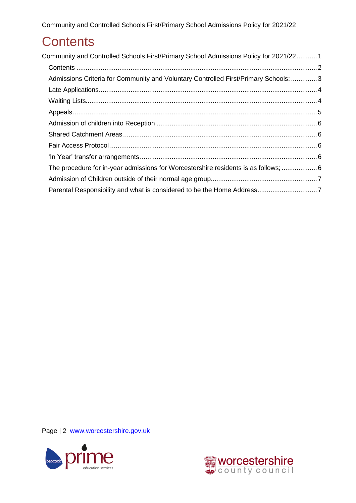### <span id="page-1-0"></span>**Contents**

| Community and Controlled Schools First/Primary School Admissions Policy for 2021/221 |  |
|--------------------------------------------------------------------------------------|--|
|                                                                                      |  |
| Admissions Criteria for Community and Voluntary Controlled First/Primary Schools: 3  |  |
|                                                                                      |  |
|                                                                                      |  |
|                                                                                      |  |
|                                                                                      |  |
|                                                                                      |  |
|                                                                                      |  |
|                                                                                      |  |
| The procedure for in-year admissions for Worcestershire residents is as follows;  6  |  |
|                                                                                      |  |
|                                                                                      |  |

Page | 2 [www.worcestershire.gov.uk](http://www.worcestershire.gov.uk/)



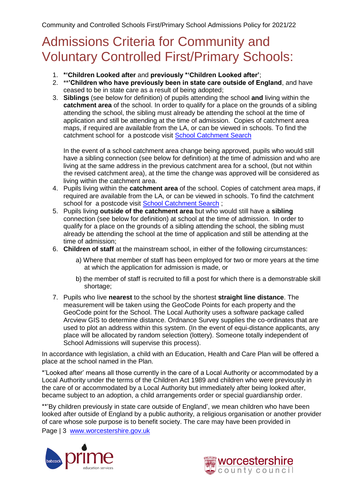#### <span id="page-2-0"></span>Admissions Criteria for Community and Voluntary Controlled First/Primary Schools:

- 1. **\*'Children Looked after** and **previously \*'Children Looked after'**;
- 2. \*\***'Children who have previously been in state care outside of England**, and have ceased to be in state care as a result of being adopted;
- 3. **Siblings** (see below for definition) of pupils attending the school **and** living within the **catchment area** of the school. In order to qualify for a place on the grounds of a sibling attending the school, the sibling must already be attending the school at the time of application and still be attending at the time of admission. Copies of catchment area maps, if required are available from the LA, or can be viewed in schools. To find the catchment school for a postcode visit [School Catchment Search](http://e-services.worcestershire.gov.uk/SchoolSearch/SearchSchools.aspx?Search=Postcode)

In the event of a school catchment area change being approved, pupils who would still have a sibling connection (see below for definition) at the time of admission and who are living at the same address in the previous catchment area for a school, (but not within the revised catchment area), at the time the change was approved will be considered as living within the catchment area.

- 4. Pupils living within the **catchment area** of the school. Copies of catchment area maps, if required are available from the LA, or can be viewed in schools. To find the catchment school for a postcode visit [School Catchment Search](http://e-services.worcestershire.gov.uk/SchoolSearch/SearchSchools.aspx?Search=Postcode) ;
- 5. Pupils living **outside of the catchment area** but who would still have a **sibling** connection (see below for definition) at school at the time of admission. In order to qualify for a place on the grounds of a sibling attending the school, the sibling must already be attending the school at the time of application and still be attending at the time of admission;
- 6. **Children of staff** at the mainstream school, in either of the following circumstances:
	- a) Where that member of staff has been employed for two or more years at the time at which the application for admission is made, or
	- b) the member of staff is recruited to fill a post for which there is a demonstrable skill shortage;
- 7. Pupils who live **nearest** to the school by the shortest **straight line distance**. The measurement will be taken using the GeoCode Points for each property and the GeoCode point for the School. The Local Authority uses a software package called Arcview GIS to determine distance. Ordnance Survey supplies the co-ordinates that are used to plot an address within this system. (In the event of equi-distance applicants, any place will be allocated by random selection (lottery). Someone totally independent of School Admissions will supervise this process).

In accordance with legislation, a child with an Education, Health and Care Plan will be offered a place at the school named in the Plan.

\*'Looked after' means all those currently in the care of a Local Authority or accommodated by a Local Authority under the terms of the Children Act 1989 and children who were previously in the care of or accommodated by a Local Authority but immediately after being looked after, became subject to an adoption, a child arrangements order or special guardianship order.

\*\*'By children previously in state care outside of England', we mean children who have been looked after outside of England by a public authority, a religious organisation or another provider of care whose sole purpose is to benefit society. The care may have been provided in

Page | 3 [www.worcestershire.gov.uk](http://www.worcestershire.gov.uk/)



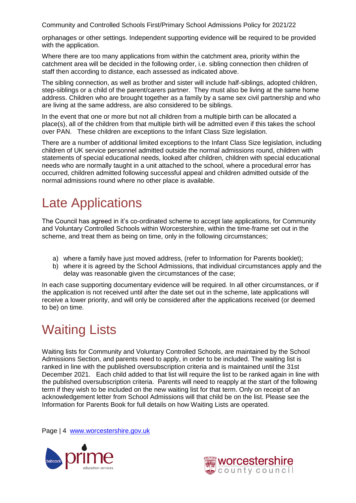orphanages or other settings. Independent supporting evidence will be required to be provided with the application.

Where there are too many applications from within the catchment area, priority within the catchment area will be decided in the following order, i.e. sibling connection then children of staff then according to distance, each assessed as indicated above.

The sibling connection, as well as brother and sister will include half-siblings, adopted children, step-siblings or a child of the parent/carers partner. They must also be living at the same home address. Children who are brought together as a family by a same sex civil partnership and who are living at the same address, are also considered to be siblings.

In the event that one or more but not all children from a multiple birth can be allocated a place(s), all of the children from that multiple birth will be admitted even if this takes the school over PAN. These children are exceptions to the Infant Class Size legislation.

There are a number of additional limited exceptions to the Infant Class Size legislation, including children of UK service personnel admitted outside the normal admissions round, children with statements of special educational needs, looked after children, children with special educational needs who are normally taught in a unit attached to the school, where a procedural error has occurred, children admitted following successful appeal and children admitted outside of the normal admissions round where no other place is available.

### <span id="page-3-0"></span>Late Applications

The Council has agreed in it's co-ordinated scheme to accept late applications, for Community and Voluntary Controlled Schools within Worcestershire, within the time-frame set out in the scheme, and treat them as being on time, only in the following circumstances;

- a) where a family have just moved address, (refer to Information for Parents booklet);
- b) where it is agreed by the School Admissions, that individual circumstances apply and the delay was reasonable given the circumstances of the case;

In each case supporting documentary evidence will be required. In all other circumstances, or if the application is not received until after the date set out in the scheme, late applications will receive a lower priority, and will only be considered after the applications received (or deemed to be) on time.

# <span id="page-3-1"></span>Waiting Lists

Waiting lists for Community and Voluntary Controlled Schools, are maintained by the School Admissions Section, and parents need to apply, in order to be included. The waiting list is ranked in line with the published oversubscription criteria and is maintained until the 31st December 2021. Each child added to that list will require the list to be ranked again in line with the published oversubscription criteria. Parents will need to reapply at the start of the following term if they wish to be included on the new waiting list for that term. Only on receipt of an acknowledgement letter from School Admissions will that child be on the list. Please see the Information for Parents Book for full details on how Waiting Lists are operated.

Page | 4 [www.worcestershire.gov.uk](http://www.worcestershire.gov.uk/)



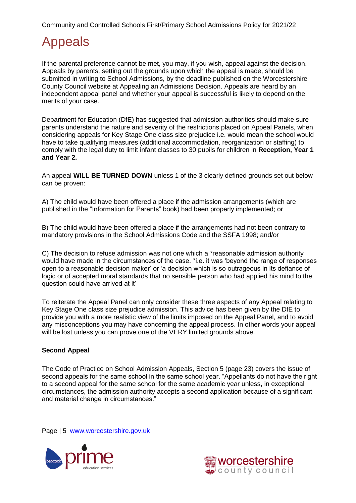# <span id="page-4-0"></span>Appeals

If the parental preference cannot be met, you may, if you wish, appeal against the decision. Appeals by parents, setting out the grounds upon which the appeal is made, should be submitted in writing to School Admissions, by the deadline published on the Worcestershire County Council website at Appealing an Admissions Decision. Appeals are heard by an independent appeal panel and whether your appeal is successful is likely to depend on the merits of your case.

Department for Education (DfE) has suggested that admission authorities should make sure parents understand the nature and severity of the restrictions placed on Appeal Panels, when considering appeals for Key Stage One class size prejudice i.e. would mean the school would have to take qualifying measures (additional accommodation, reorganization or staffing) to comply with the legal duty to limit infant classes to 30 pupils for children in **Reception, Year 1 and Year 2.**

An appeal **WILL BE TURNED DOWN** unless 1 of the 3 clearly defined grounds set out below can be proven:

A) The child would have been offered a place if the admission arrangements (which are published in the "Information for Parents" book) had been properly implemented; or

B) The child would have been offered a place if the arrangements had not been contrary to mandatory provisions in the School Admissions Code and the SSFA 1998; and/or

C) The decision to refuse admission was not one which a \*reasonable admission authority would have made in the circumstances of the case. \*i.e. it was 'beyond the range of responses open to a reasonable decision maker' or 'a decision which is so outrageous in its defiance of logic or of accepted moral standards that no sensible person who had applied his mind to the question could have arrived at it'

To reiterate the Appeal Panel can only consider these three aspects of any Appeal relating to Key Stage One class size prejudice admission. This advice has been given by the DfE to provide you with a more realistic view of the limits imposed on the Appeal Panel, and to avoid any misconceptions you may have concerning the appeal process. In other words your appeal will be lost unless you can prove one of the VERY limited grounds above.

#### **Second Appeal**

The Code of Practice on School Admission Appeals, Section 5 (page 23) covers the issue of second appeals for the same school in the same school year. "Appellants do not have the right to a second appeal for the same school for the same academic year unless, in exceptional circumstances, the admission authority accepts a second application because of a significant and material change in circumstances."

Page | 5 [www.worcestershire.gov.uk](http://www.worcestershire.gov.uk/)



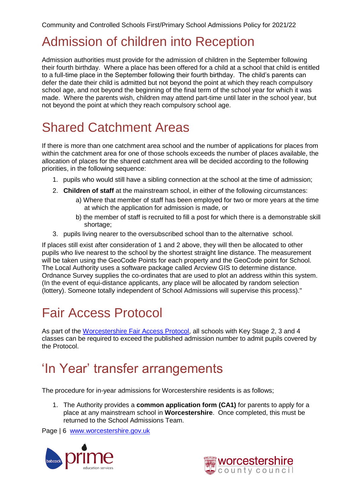#### Admission of children into Reception

Admission authorities must provide for the admission of children in the September following their fourth birthday. Where a place has been offered for a child at a school that child is entitled to a full-time place in the September following their fourth birthday. The child's parents can defer the date their child is admitted but not beyond the point at which they reach compulsory school age, and not beyond the beginning of the final term of the school year for which it was made. Where the parents wish, children may attend part-time until later in the school year, but not beyond the point at which they reach compulsory school age.

# <span id="page-5-0"></span>Shared Catchment Areas

If there is more than one catchment area school and the number of applications for places from within the catchment area for one of those schools exceeds the number of places available, the allocation of places for the shared catchment area will be decided according to the following priorities, in the following sequence:

- 1. pupils who would still have a sibling connection at the school at the time of admission;
- 2. **Children of staff** at the mainstream school, in either of the following circumstances:
	- a) Where that member of staff has been employed for two or more years at the time at which the application for admission is made, or
	- b) the member of staff is recruited to fill a post for which there is a demonstrable skill shortage;
- 3. pupils living nearer to the oversubscribed school than to the alternative school.

If places still exist after consideration of 1 and 2 above, they will then be allocated to other pupils who live nearest to the school by the shortest straight line distance. The measurement will be taken using the GeoCode Points for each property and the GeoCode point for School. The Local Authority uses a software package called Arcview GIS to determine distance. Ordnance Survey supplies the co-ordinates that are used to plot an address within this system. (In the event of equi-distance applicants, any place will be allocated by random selection (lottery). Someone totally independent of School Admissions will supervise this process)."

# <span id="page-5-1"></span>Fair Access Protocol

As part of the [Worcestershire Fair Access Protocol,](http://www.worcestershire.gov.uk/info/20632/school_admissions_policies_and_appeals) all schools with Key Stage 2, 3 and 4 classes can be required to exceed the published admission number to admit pupils covered by the Protocol.

#### <span id="page-5-2"></span>'In Year' transfer arrangements

<span id="page-5-3"></span>The procedure for in-year admissions for Worcestershire residents is as follows;

1. The Authority provides a **common application form (CA1)** for parents to apply for a place at any mainstream school in **Worcestershire**. Once completed, this must be returned to the School Admissions Team.

Page | 6 [www.worcestershire.gov.uk](http://www.worcestershire.gov.uk/)



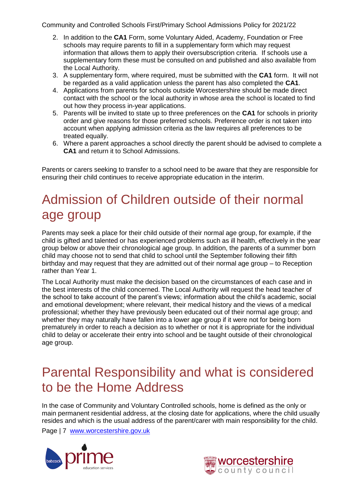- 2. In addition to the **CA1** Form, some Voluntary Aided, Academy, Foundation or Free schools may require parents to fill in a supplementary form which may request information that allows them to apply their oversubscription criteria. If schools use a supplementary form these must be consulted on and published and also available from the Local Authority.
- 3. A supplementary form, where required, must be submitted with the **CA1** form. It will not be regarded as a valid application unless the parent has also completed the **CA1**.
- 4. Applications from parents for schools outside Worcestershire should be made direct contact with the school or the local authority in whose area the school is located to find out how they process in-year applications.
- 5. Parents will be invited to state up to three preferences on the **CA1** for schools in priority order and give reasons for those preferred schools. Preference order is not taken into account when applying admission criteria as the law requires all preferences to be treated equally.
- 6. Where a parent approaches a school directly the parent should be advised to complete a **CA1** and return it to School Admissions.

Parents or carers seeking to transfer to a school need to be aware that they are responsible for ensuring their child continues to receive appropriate education in the interim.

# <span id="page-6-0"></span>Admission of Children outside of their normal age group

Parents may seek a place for their child outside of their normal age group, for example, if the child is gifted and talented or has experienced problems such as ill health, effectively in the year group below or above their chronological age group. In addition, the parents of a summer born child may choose not to send that child to school until the September following their fifth birthday and may request that they are admitted out of their normal age group – to Reception rather than Year 1.

The Local Authority must make the decision based on the circumstances of each case and in the best interests of the child concerned. The Local Authority will request the head teacher of the school to take account of the parent's views; information about the child's academic, social and emotional development; where relevant, their medical history and the views of a medical professional; whether they have previously been educated out of their normal age group; and whether they may naturally have fallen into a lower age group if it were not for being born prematurely in order to reach a decision as to whether or not it is appropriate for the individual child to delay or accelerate their entry into school and be taught outside of their chronological age group.

#### <span id="page-6-1"></span>Parental Responsibility and what is considered to be the Home Address

In the case of Community and Voluntary Controlled schools, home is defined as the only or main permanent residential address, at the closing date for applications, where the child usually resides and which is the usual address of the parent/carer with main responsibility for the child.

Page | 7 [www.worcestershire.gov.uk](http://www.worcestershire.gov.uk/)